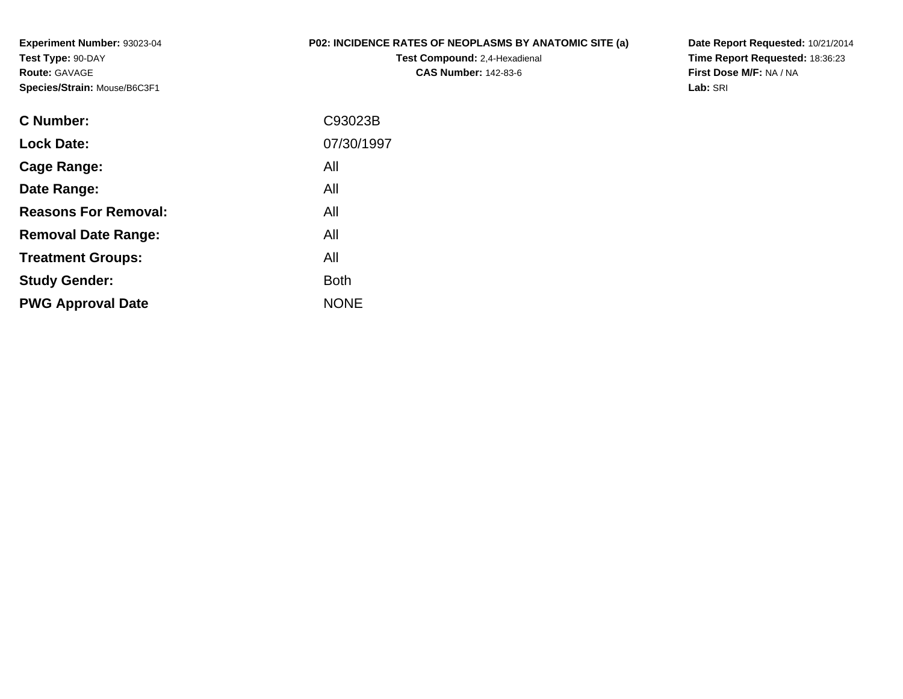**Experiment Number:** 93023-04**Test Type:** 90-DAY**Route:** GAVAGE**Species/Strain:** Mouse/B6C3F1

## **P02: INCIDENCE RATES OF NEOPLASMS BY ANATOMIC SITE (a)**

**Test Compound:** 2,4-Hexadienal **CAS Number:** 142-83-6

**Date Report Requested:** 10/21/2014 **Time Report Requested:** 18:36:23**First Dose M/F:** NA / NA**Lab:** SRI

| C Number:                   | C93023B     |
|-----------------------------|-------------|
| <b>Lock Date:</b>           | 07/30/1997  |
| Cage Range:                 | All         |
| Date Range:                 | All         |
| <b>Reasons For Removal:</b> | All         |
| <b>Removal Date Range:</b>  | All         |
| <b>Treatment Groups:</b>    | All         |
| <b>Study Gender:</b>        | <b>Both</b> |
| <b>PWG Approval Date</b>    | <b>NONE</b> |
|                             |             |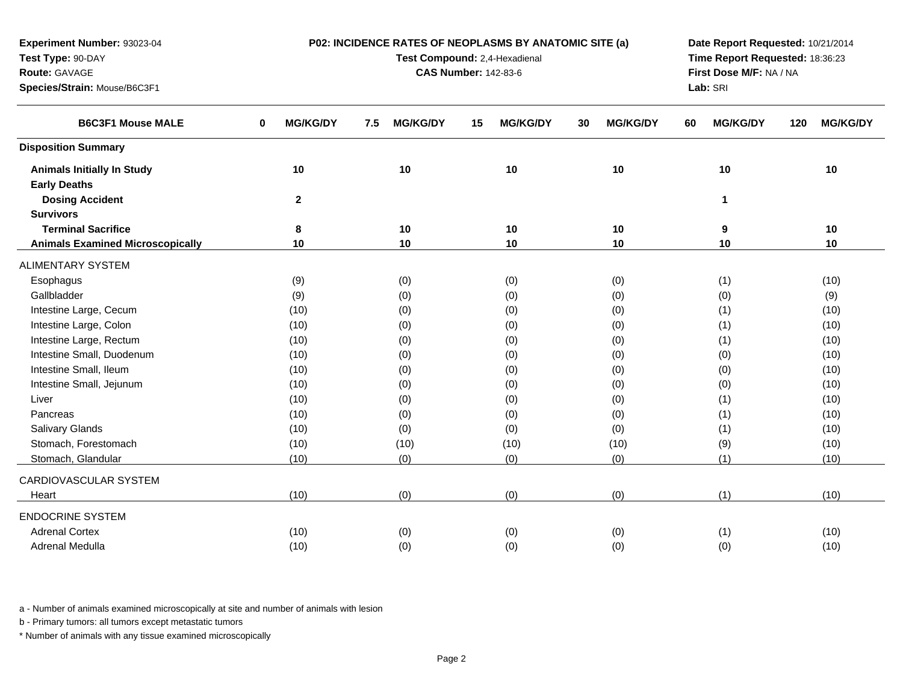| Test Type: 90-DAY                       |                      | Test Compound: 2,4-Hexadienal | Time Report Requested: 18:36:23 |                       |                         |                        |
|-----------------------------------------|----------------------|-------------------------------|---------------------------------|-----------------------|-------------------------|------------------------|
| Route: GAVAGE                           |                      |                               | <b>CAS Number: 142-83-6</b>     |                       | First Dose M/F: NA / NA |                        |
| Species/Strain: Mouse/B6C3F1            |                      |                               |                                 |                       | Lab: SRI                |                        |
| <b>B6C3F1 Mouse MALE</b>                | <b>MG/KG/DY</b><br>0 | 7.5<br><b>MG/KG/DY</b>        | 15<br><b>MG/KG/DY</b>           | 30<br><b>MG/KG/DY</b> | <b>MG/KG/DY</b><br>60   | 120<br><b>MG/KG/DY</b> |
| <b>Disposition Summary</b>              |                      |                               |                                 |                       |                         |                        |
| <b>Animals Initially In Study</b>       | 10                   | 10                            | 10                              | 10                    | 10                      | 10                     |
| <b>Early Deaths</b>                     |                      |                               |                                 |                       |                         |                        |
| <b>Dosing Accident</b>                  | $\mathbf{2}$         |                               |                                 |                       | 1                       |                        |
| <b>Survivors</b>                        |                      |                               |                                 |                       |                         |                        |
| <b>Terminal Sacrifice</b>               | 8                    | 10                            | 10                              | 10                    | 9                       | 10                     |
| <b>Animals Examined Microscopically</b> | 10                   | 10                            | 10                              | 10                    | 10                      | 10                     |
| <b>ALIMENTARY SYSTEM</b>                |                      |                               |                                 |                       |                         |                        |
| Esophagus                               | (9)                  | (0)                           | (0)                             | (0)                   | (1)                     | (10)                   |
| Gallbladder                             | (9)                  | (0)                           | (0)                             | (0)                   | (0)                     | (9)                    |
| Intestine Large, Cecum                  | (10)                 | (0)                           | (0)                             | (0)                   | (1)                     | (10)                   |
| Intestine Large, Colon                  | (10)                 | (0)                           | (0)                             | (0)                   | (1)                     | (10)                   |
| Intestine Large, Rectum                 | (10)                 | (0)                           | (0)                             | (0)                   | (1)                     | (10)                   |
| Intestine Small, Duodenum               | (10)                 | (0)                           | (0)                             | (0)                   | (0)                     | (10)                   |
| Intestine Small, Ileum                  | (10)                 | (0)                           | (0)                             | (0)                   | (0)                     | (10)                   |
| Intestine Small, Jejunum                | (10)                 | (0)                           | (0)                             | (0)                   | (0)                     | (10)                   |
| Liver                                   | (10)                 | (0)                           | (0)                             | (0)                   | (1)                     | (10)                   |
| Pancreas                                | (10)                 | (0)                           | (0)                             | (0)                   | (1)                     | (10)                   |
| <b>Salivary Glands</b>                  | (10)                 | (0)                           | (0)                             | (0)                   | (1)                     | (10)                   |
| Stomach, Forestomach                    | (10)                 | (10)                          | (10)                            | (10)                  | (9)                     | (10)                   |
| Stomach, Glandular                      | (10)                 | (0)                           | (0)                             | (0)                   | (1)                     | (10)                   |
| CARDIOVASCULAR SYSTEM                   |                      |                               |                                 |                       |                         |                        |
| Heart                                   | (10)                 | (0)                           | (0)                             | (0)                   | (1)                     | (10)                   |
| <b>ENDOCRINE SYSTEM</b>                 |                      |                               |                                 |                       |                         |                        |
| <b>Adrenal Cortex</b>                   | (10)                 | (0)                           | (0)                             | (0)                   | (1)                     | (10)                   |
| Adrenal Medulla                         | (10)                 | (0)                           | (0)                             | (0)                   | (0)                     | (10)                   |

**P02: INCIDENCE RATES OF NEOPLASMS BY ANATOMIC SITE (a)**

**Date Report Requested:** 10/21/2014

a - Number of animals examined microscopically at site and number of animals with lesion

b - Primary tumors: all tumors except metastatic tumors

**Experiment Number:** 93023-04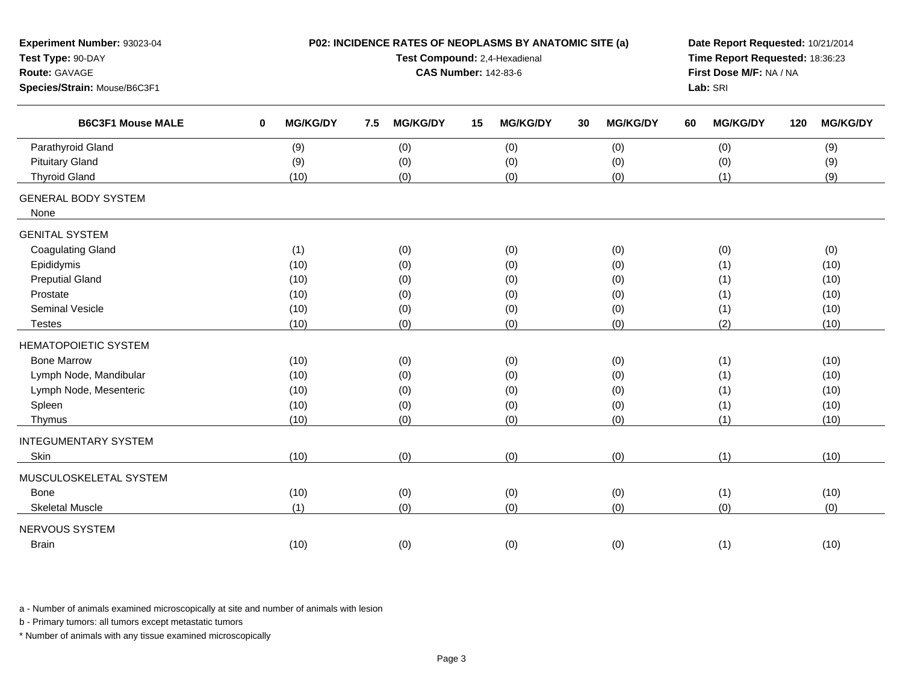| Experiment Number: 93023-04<br>Test Type: 90-DAY<br>Route: GAVAGE<br>Species/Strain: Mouse/B6C3F1 | P02: INCIDENCE RATES OF NEOPLASMS BY ANATOMIC SITE (a) | Date Report Requested: 10/21/2014<br>Time Report Requested: 18:36:23<br>First Dose M/F: NA / NA<br>Lab: SRI |                       |                       |                       |                        |
|---------------------------------------------------------------------------------------------------|--------------------------------------------------------|-------------------------------------------------------------------------------------------------------------|-----------------------|-----------------------|-----------------------|------------------------|
| <b>B6C3F1 Mouse MALE</b>                                                                          | <b>MG/KG/DY</b><br>$\mathbf 0$                         | <b>MG/KG/DY</b><br>7.5                                                                                      | <b>MG/KG/DY</b><br>15 | <b>MG/KG/DY</b><br>30 | 60<br><b>MG/KG/DY</b> | <b>MG/KG/DY</b><br>120 |
| Parathyroid Gland                                                                                 | (9)                                                    | (0)                                                                                                         | (0)                   | (0)                   | (0)                   | (9)                    |
| <b>Pituitary Gland</b>                                                                            | (9)                                                    | (0)                                                                                                         | (0)                   | (0)                   | (0)                   | (9)                    |
| <b>Thyroid Gland</b>                                                                              | (10)                                                   | (0)                                                                                                         | (0)                   | (0)                   | (1)                   | (9)                    |
| <b>GENERAL BODY SYSTEM</b><br>None                                                                |                                                        |                                                                                                             |                       |                       |                       |                        |
| <b>GENITAL SYSTEM</b>                                                                             |                                                        |                                                                                                             |                       |                       |                       |                        |
| <b>Coagulating Gland</b>                                                                          | (1)                                                    | (0)                                                                                                         | (0)                   | (0)                   | (0)                   | (0)                    |
| Epididymis                                                                                        | (10)                                                   | (0)                                                                                                         | (0)                   | (0)                   | (1)                   | (10)                   |
| <b>Preputial Gland</b>                                                                            | (10)                                                   | (0)                                                                                                         | (0)                   | (0)                   | (1)                   | (10)                   |
| Prostate                                                                                          | (10)                                                   | (0)                                                                                                         | (0)                   | (0)                   | (1)                   | (10)                   |
| Seminal Vesicle                                                                                   | (10)                                                   | (0)                                                                                                         | (0)                   | (0)                   | (1)                   | (10)                   |
| <b>Testes</b>                                                                                     | (10)                                                   | (0)                                                                                                         | (0)                   | (0)                   | (2)                   | (10)                   |
| <b>HEMATOPOIETIC SYSTEM</b>                                                                       |                                                        |                                                                                                             |                       |                       |                       |                        |
| <b>Bone Marrow</b>                                                                                | (10)                                                   | (0)                                                                                                         | (0)                   | (0)                   | (1)                   | (10)                   |
| Lymph Node, Mandibular                                                                            | (10)                                                   | (0)                                                                                                         | (0)                   | (0)                   | (1)                   | (10)                   |
| Lymph Node, Mesenteric                                                                            | (10)                                                   | (0)                                                                                                         | (0)                   | (0)                   | (1)                   | (10)                   |
| Spleen                                                                                            | (10)                                                   | (0)                                                                                                         | (0)                   | (0)                   | (1)                   | (10)                   |
| Thymus                                                                                            | (10)                                                   | (0)                                                                                                         | (0)                   | (0)                   | (1)                   | (10)                   |
| <b>INTEGUMENTARY SYSTEM</b>                                                                       |                                                        |                                                                                                             |                       |                       |                       |                        |
| Skin                                                                                              | (10)                                                   | (0)                                                                                                         | (0)                   | (0)                   | (1)                   | (10)                   |
| MUSCULOSKELETAL SYSTEM                                                                            |                                                        |                                                                                                             |                       |                       |                       |                        |
| Bone                                                                                              | (10)                                                   | (0)                                                                                                         | (0)                   | (0)                   | (1)                   | (10)                   |
| <b>Skeletal Muscle</b>                                                                            | (1)                                                    | (0)                                                                                                         | (0)                   | (0)                   | (0)                   | (0)                    |
| NERVOUS SYSTEM                                                                                    |                                                        |                                                                                                             |                       |                       |                       |                        |
| <b>Brain</b>                                                                                      | (10)                                                   | (0)                                                                                                         | (0)                   | (0)                   | (1)                   | (10)                   |
|                                                                                                   |                                                        |                                                                                                             |                       |                       |                       |                        |

b - Primary tumors: all tumors except metastatic tumors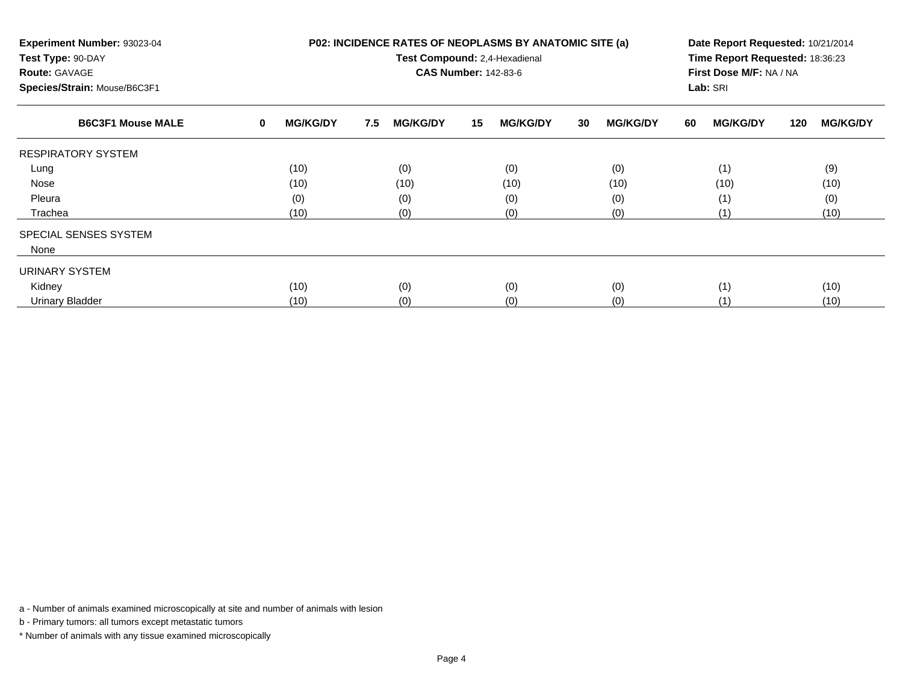| Experiment Number: 93023-04<br>Test Type: 90-DAY<br><b>Route: GAVAGE</b><br>Species/Strain: Mouse/B6C3F1 |                             | P02: INCIDENCE RATES OF NEOPLASMS BY ANATOMIC SITE (a)<br>Test Compound: 2,4-Hexadienal | Date Report Requested: 10/21/2014<br>Time Report Requested: 18:36:23<br>First Dose M/F: NA / NA<br>Lab: SRI |    |                 |    |                 |    |                 |     |                 |
|----------------------------------------------------------------------------------------------------------|-----------------------------|-----------------------------------------------------------------------------------------|-------------------------------------------------------------------------------------------------------------|----|-----------------|----|-----------------|----|-----------------|-----|-----------------|
| <b>B6C3F1 Mouse MALE</b>                                                                                 | <b>MG/KG/DY</b><br>$\bf{0}$ | 7.5                                                                                     | <b>MG/KG/DY</b>                                                                                             | 15 | <b>MG/KG/DY</b> | 30 | <b>MG/KG/DY</b> | 60 | <b>MG/KG/DY</b> | 120 | <b>MG/KG/DY</b> |
| <b>RESPIRATORY SYSTEM</b>                                                                                |                             |                                                                                         |                                                                                                             |    |                 |    |                 |    |                 |     |                 |
| Lung                                                                                                     | (10)                        |                                                                                         | (0)                                                                                                         |    | (0)             |    | (0)             |    | (1)             |     | (9)             |
| Nose                                                                                                     | (10)                        |                                                                                         | (10)                                                                                                        |    | (10)            |    | (10)            |    | (10)            |     | (10)            |
| Pleura                                                                                                   | (0)                         |                                                                                         | (0)                                                                                                         |    | (0)             |    | (0)             |    | (1)             |     | (0)             |
| Trachea                                                                                                  | (10)                        |                                                                                         | (0)                                                                                                         |    | (0)             |    | (0)             |    | (1)             |     | (10)            |
| SPECIAL SENSES SYSTEM                                                                                    |                             |                                                                                         |                                                                                                             |    |                 |    |                 |    |                 |     |                 |
| None                                                                                                     |                             |                                                                                         |                                                                                                             |    |                 |    |                 |    |                 |     |                 |
| <b>URINARY SYSTEM</b>                                                                                    |                             |                                                                                         |                                                                                                             |    |                 |    |                 |    |                 |     |                 |
| Kidney                                                                                                   | (10)                        |                                                                                         | (0)                                                                                                         |    | (0)             |    | (0)             |    | (1)             |     | (10)            |
| <b>Urinary Bladder</b>                                                                                   | (10)                        |                                                                                         | (0)                                                                                                         |    | (0)             |    | (0)             |    | (1)             |     | (10)            |

b - Primary tumors: all tumors except metastatic tumors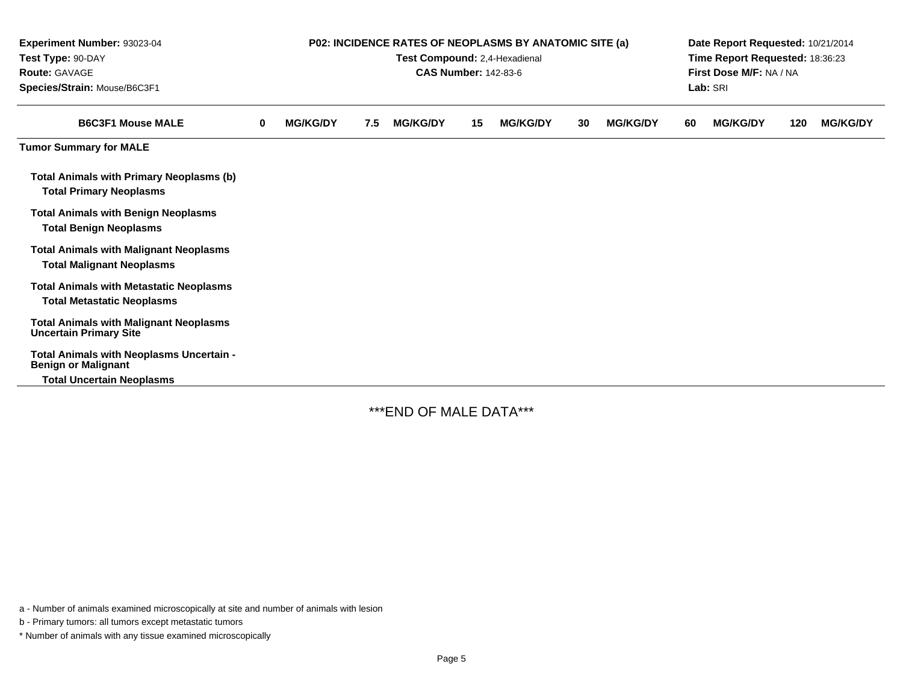| Experiment Number: 93023-04<br>Test Type: 90-DAY<br>Route: GAVAGE<br>Species/Strain: Mouse/B6C3F1          | P02: INCIDENCE RATES OF NEOPLASMS BY ANATOMIC SITE (a)<br>Test Compound: 2,4-Hexadienal<br><b>CAS Number: 142-83-6</b> |                 |     |                 |    |                 |    |                 | Date Report Requested: 10/21/2014<br>Time Report Requested: 18:36:23<br>First Dose M/F: NA / NA<br>Lab: SRI |                 |     |                 |  |
|------------------------------------------------------------------------------------------------------------|------------------------------------------------------------------------------------------------------------------------|-----------------|-----|-----------------|----|-----------------|----|-----------------|-------------------------------------------------------------------------------------------------------------|-----------------|-----|-----------------|--|
| <b>B6C3F1 Mouse MALE</b>                                                                                   | 0                                                                                                                      | <b>MG/KG/DY</b> | 7.5 | <b>MG/KG/DY</b> | 15 | <b>MG/KG/DY</b> | 30 | <b>MG/KG/DY</b> | 60                                                                                                          | <b>MG/KG/DY</b> | 120 | <b>MG/KG/DY</b> |  |
| <b>Tumor Summary for MALE</b>                                                                              |                                                                                                                        |                 |     |                 |    |                 |    |                 |                                                                                                             |                 |     |                 |  |
| <b>Total Animals with Primary Neoplasms (b)</b><br><b>Total Primary Neoplasms</b>                          |                                                                                                                        |                 |     |                 |    |                 |    |                 |                                                                                                             |                 |     |                 |  |
| <b>Total Animals with Benign Neoplasms</b><br><b>Total Benign Neoplasms</b>                                |                                                                                                                        |                 |     |                 |    |                 |    |                 |                                                                                                             |                 |     |                 |  |
| <b>Total Animals with Malignant Neoplasms</b><br><b>Total Malignant Neoplasms</b>                          |                                                                                                                        |                 |     |                 |    |                 |    |                 |                                                                                                             |                 |     |                 |  |
| <b>Total Animals with Metastatic Neoplasms</b><br><b>Total Metastatic Neoplasms</b>                        |                                                                                                                        |                 |     |                 |    |                 |    |                 |                                                                                                             |                 |     |                 |  |
| <b>Total Animals with Malignant Neoplasms</b><br><b>Uncertain Primary Site</b>                             |                                                                                                                        |                 |     |                 |    |                 |    |                 |                                                                                                             |                 |     |                 |  |
| Total Animals with Neoplasms Uncertain -<br><b>Benign or Malignant</b><br><b>Total Uncertain Neoplasms</b> |                                                                                                                        |                 |     |                 |    |                 |    |                 |                                                                                                             |                 |     |                 |  |

\*\*\*END OF MALE DATA\*\*\*

a - Number of animals examined microscopically at site and number of animals with lesion

b - Primary tumors: all tumors except metastatic tumors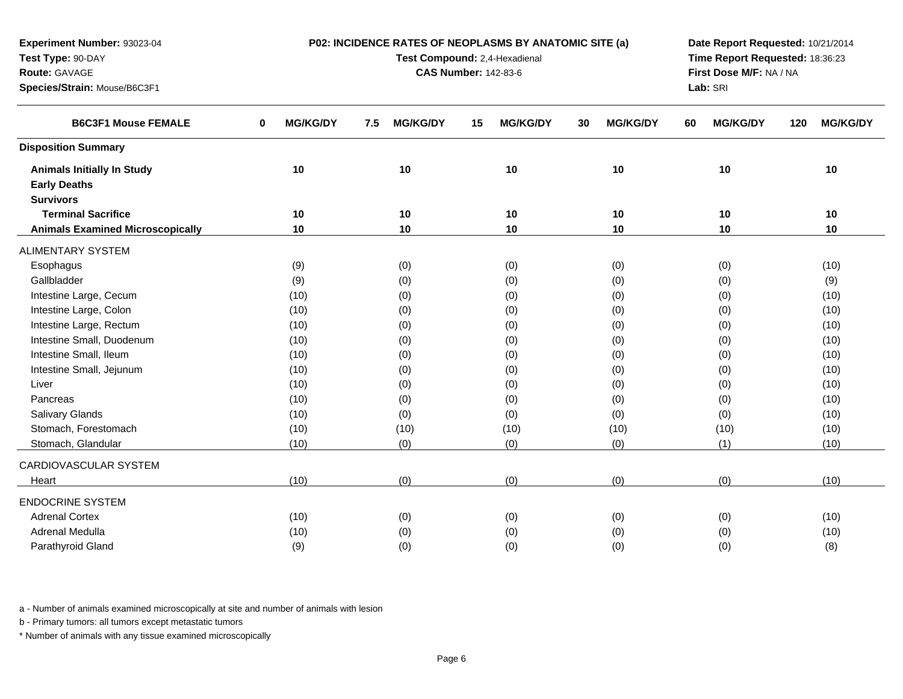| Route: GAVAGE                           |                      | <b>CAS Number: 142-83-6</b> | First Dose M/F: NA / NA |                       |                       |                        |
|-----------------------------------------|----------------------|-----------------------------|-------------------------|-----------------------|-----------------------|------------------------|
| Species/Strain: Mouse/B6C3F1            |                      |                             |                         |                       | Lab: SRI              |                        |
| <b>B6C3F1 Mouse FEMALE</b>              | <b>MG/KG/DY</b><br>0 | <b>MG/KG/DY</b><br>7.5      | <b>MG/KG/DY</b><br>15   | 30<br><b>MG/KG/DY</b> | <b>MG/KG/DY</b><br>60 | <b>MG/KG/DY</b><br>120 |
| <b>Disposition Summary</b>              |                      |                             |                         |                       |                       |                        |
| <b>Animals Initially In Study</b>       | 10                   | 10                          | 10                      | 10                    | 10                    | 10                     |
| <b>Early Deaths</b>                     |                      |                             |                         |                       |                       |                        |
| <b>Survivors</b>                        |                      |                             |                         |                       |                       |                        |
| <b>Terminal Sacrifice</b>               | 10                   | 10                          | 10                      | 10                    | 10                    | 10                     |
| <b>Animals Examined Microscopically</b> | 10                   | 10                          | 10                      | 10                    | 10                    | 10                     |
| <b>ALIMENTARY SYSTEM</b>                |                      |                             |                         |                       |                       |                        |
| Esophagus                               | (9)                  | (0)                         | (0)                     | (0)                   | (0)                   | (10)                   |
| Gallbladder                             | (9)                  | (0)                         | (0)                     | (0)                   | (0)                   | (9)                    |
| Intestine Large, Cecum                  | (10)                 | (0)                         | (0)                     | (0)                   | (0)                   | (10)                   |
| Intestine Large, Colon                  | (10)                 | (0)                         | (0)                     | (0)                   | (0)                   | (10)                   |
| Intestine Large, Rectum                 | (10)                 | (0)                         | (0)                     | (0)                   | (0)                   | (10)                   |
| Intestine Small, Duodenum               | (10)                 | (0)                         | (0)                     | (0)                   | (0)                   | (10)                   |
| Intestine Small, Ileum                  | (10)                 | (0)                         | (0)                     | (0)                   | (0)                   | (10)                   |
| Intestine Small, Jejunum                | (10)                 | (0)                         | (0)                     | (0)                   | (0)                   | (10)                   |
| Liver                                   | (10)                 | (0)                         | (0)                     | (0)                   | (0)                   | (10)                   |
| Pancreas                                | (10)                 | (0)                         | (0)                     | (0)                   | (0)                   | (10)                   |
| Salivary Glands                         | (10)                 | (0)                         | (0)                     | (0)                   | (0)                   | (10)                   |
| Stomach, Forestomach                    | (10)                 | (10)                        | (10)                    | (10)                  | (10)                  | (10)                   |
| Stomach, Glandular                      | (10)                 | (0)                         | (0)                     | (0)                   | (1)                   | (10)                   |
| CARDIOVASCULAR SYSTEM                   |                      |                             |                         |                       |                       |                        |
| Heart                                   | (10)                 | (0)                         | (0)                     | (0)                   | (0)                   | (10)                   |
| <b>ENDOCRINE SYSTEM</b>                 |                      |                             |                         |                       |                       |                        |
| <b>Adrenal Cortex</b>                   | (10)                 | (0)                         | (0)                     | (0)                   | (0)                   | (10)                   |
| Adrenal Medulla                         | (10)                 | (0)                         | (0)                     | (0)                   | (0)                   | (10)                   |
| Parathyroid Gland                       | (9)                  | (0)                         | (0)                     | (0)                   | (0)                   | (8)                    |
|                                         |                      |                             |                         |                       |                       |                        |

**P02: INCIDENCE RATES OF NEOPLASMS BY ANATOMIC SITE (a)Test Compound:** 2,4-Hexadienal

**Date Report Requested:** 10/21/2014**Time Report Requested:** 18:36:23

a - Number of animals examined microscopically at site and number of animals with lesion

b - Primary tumors: all tumors except metastatic tumors

**Experiment Number:** 93023-04

**Test Type:** 90-DAY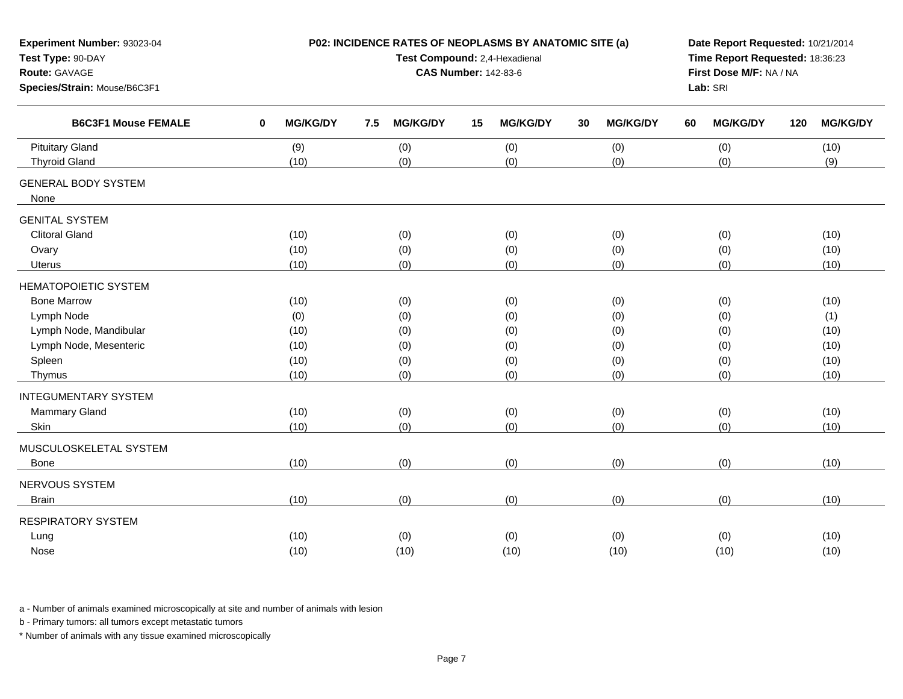| Experiment Number: 93023-04<br>Test Type: 90-DAY<br>Route: GAVAGE<br>Species/Strain: Mouse/B6C3F1 |                                 | P02: INCIDENCE RATES OF NEOPLASMS BY ANATOMIC SITE (a)<br>Test Compound: 2,4-Hexadienal<br><b>CAS Number: 142-83-6</b> | Date Report Requested: 10/21/2014<br>Time Report Requested: 18:36:23<br>First Dose M/F: NA / NA<br>Lab: SRI |                       |                       |                        |
|---------------------------------------------------------------------------------------------------|---------------------------------|------------------------------------------------------------------------------------------------------------------------|-------------------------------------------------------------------------------------------------------------|-----------------------|-----------------------|------------------------|
| <b>B6C3F1 Mouse FEMALE</b>                                                                        | $\mathbf{0}$<br><b>MG/KG/DY</b> | <b>MG/KG/DY</b><br>7.5                                                                                                 | <b>MG/KG/DY</b><br>15                                                                                       | <b>MG/KG/DY</b><br>30 | <b>MG/KG/DY</b><br>60 | <b>MG/KG/DY</b><br>120 |
| <b>Pituitary Gland</b>                                                                            | (9)                             | (0)                                                                                                                    | (0)                                                                                                         | (0)                   | (0)                   | (10)                   |
| <b>Thyroid Gland</b>                                                                              | (10)                            | (0)                                                                                                                    | (0)                                                                                                         | (0)                   | (0)                   | (9)                    |
| <b>GENERAL BODY SYSTEM</b><br>None                                                                |                                 |                                                                                                                        |                                                                                                             |                       |                       |                        |
| <b>GENITAL SYSTEM</b>                                                                             |                                 |                                                                                                                        |                                                                                                             |                       |                       |                        |
| <b>Clitoral Gland</b>                                                                             | (10)                            | (0)                                                                                                                    | (0)                                                                                                         | (0)                   | (0)                   | (10)                   |
| Ovary                                                                                             | (10)                            | (0)                                                                                                                    | (0)                                                                                                         | (0)                   | (0)                   | (10)                   |
| <b>Uterus</b>                                                                                     | (10)                            | (0)                                                                                                                    | (0)                                                                                                         | (0)                   | (0)                   | (10)                   |
| <b>HEMATOPOIETIC SYSTEM</b>                                                                       |                                 |                                                                                                                        |                                                                                                             |                       |                       |                        |
| <b>Bone Marrow</b>                                                                                | (10)                            | (0)                                                                                                                    | (0)                                                                                                         | (0)                   | (0)                   | (10)                   |
| Lymph Node                                                                                        | (0)                             | (0)                                                                                                                    | (0)                                                                                                         | (0)                   | (0)                   | (1)                    |
| Lymph Node, Mandibular                                                                            | (10)                            | (0)                                                                                                                    | (0)                                                                                                         | (0)                   | (0)                   | (10)                   |
| Lymph Node, Mesenteric                                                                            | (10)                            | (0)                                                                                                                    | (0)                                                                                                         | (0)                   | (0)                   | (10)                   |
| Spleen                                                                                            | (10)                            | (0)                                                                                                                    | (0)                                                                                                         | (0)                   | (0)                   | (10)                   |
| Thymus                                                                                            | (10)                            | (0)                                                                                                                    | (0)                                                                                                         | (0)                   | (0)                   | (10)                   |
| <b>INTEGUMENTARY SYSTEM</b>                                                                       |                                 |                                                                                                                        |                                                                                                             |                       |                       |                        |
| Mammary Gland                                                                                     | (10)                            | (0)                                                                                                                    | (0)                                                                                                         | (0)                   | (0)                   | (10)                   |
| Skin                                                                                              | (10)                            | (0)                                                                                                                    | (0)                                                                                                         | (0)                   | (0)                   | (10)                   |
| MUSCULOSKELETAL SYSTEM                                                                            |                                 |                                                                                                                        |                                                                                                             |                       |                       |                        |
| Bone                                                                                              | (10)                            | (0)                                                                                                                    | (0)                                                                                                         | (0)                   | (0)                   | (10)                   |
| NERVOUS SYSTEM                                                                                    |                                 |                                                                                                                        |                                                                                                             |                       |                       |                        |
| <b>Brain</b>                                                                                      | (10)                            | (0)                                                                                                                    | (0)                                                                                                         | (0)                   | (0)                   | (10)                   |
| <b>RESPIRATORY SYSTEM</b>                                                                         |                                 |                                                                                                                        |                                                                                                             |                       |                       |                        |
| Lung                                                                                              | (10)                            | (0)                                                                                                                    | (0)                                                                                                         | (0)                   | (0)                   | (10)                   |
| Nose                                                                                              | (10)                            | (10)                                                                                                                   | (10)                                                                                                        | (10)                  | (10)                  | (10)                   |
|                                                                                                   |                                 |                                                                                                                        |                                                                                                             |                       |                       |                        |

b - Primary tumors: all tumors except metastatic tumors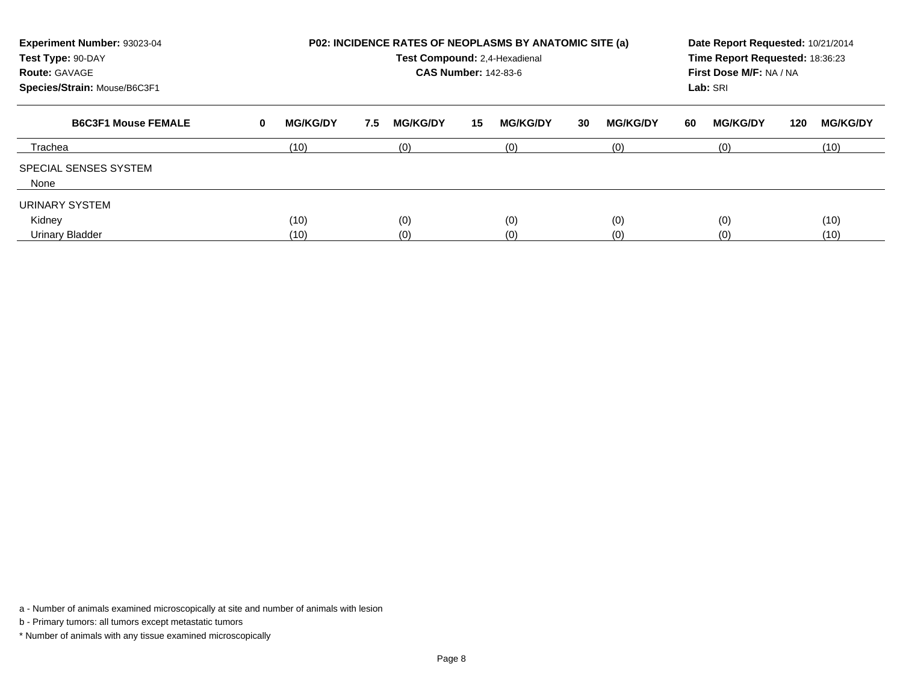| Experiment Number: 93023-04<br>Test Type: 90-DAY<br><b>Route: GAVAGE</b><br>Species/Strain: Mouse/B6C3F1 |   | <b>P02: INCIDENCE RATES OF NEOPLASMS BY ANATOMIC SITE (a)</b><br>Test Compound: 2,4-Hexadienal<br><b>CAS Number: 142-83-6</b> |     |                 |    |                 |    |                 |    |                 | Date Report Requested: 10/21/2014<br>Time Report Requested: 18:36:23<br>First Dose M/F: NA / NA<br>Lab: SRI |                 |  |  |
|----------------------------------------------------------------------------------------------------------|---|-------------------------------------------------------------------------------------------------------------------------------|-----|-----------------|----|-----------------|----|-----------------|----|-----------------|-------------------------------------------------------------------------------------------------------------|-----------------|--|--|
| <b>B6C3F1 Mouse FEMALE</b>                                                                               | 0 | <b>MG/KG/DY</b>                                                                                                               | 7.5 | <b>MG/KG/DY</b> | 15 | <b>MG/KG/DY</b> | 30 | <b>MG/KG/DY</b> | 60 | <b>MG/KG/DY</b> | 120                                                                                                         | <b>MG/KG/DY</b> |  |  |
| Trachea                                                                                                  |   | (10)                                                                                                                          |     | (0)             |    | (0)             |    | (0)             |    | (0)             |                                                                                                             | (10)            |  |  |
| SPECIAL SENSES SYSTEM<br>None                                                                            |   |                                                                                                                               |     |                 |    |                 |    |                 |    |                 |                                                                                                             |                 |  |  |
| URINARY SYSTEM                                                                                           |   |                                                                                                                               |     |                 |    |                 |    |                 |    |                 |                                                                                                             |                 |  |  |
| Kidney                                                                                                   |   | (10)                                                                                                                          |     | (0)             |    | (0)             |    | (0)             |    | (0)             |                                                                                                             | (10)            |  |  |
| <b>Urinary Bladder</b>                                                                                   |   | (10)                                                                                                                          |     | (0)             |    | (0)             |    | (0)             |    | (0)             |                                                                                                             | (10)            |  |  |

b - Primary tumors: all tumors except metastatic tumors